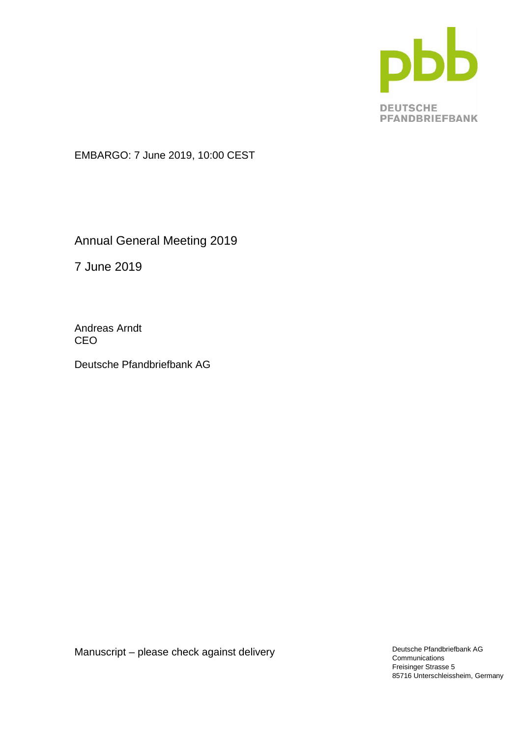

EMBARGO: 7 June 2019, 10:00 CEST

Annual General Meeting 2019

7 June 2019

Andreas Arndt CEO

Deutsche Pfandbriefbank AG

Manuscript – please check against delivery

Deutsche Pfandbriefbank AG **Communications** Freisinger Strasse 5 85716 Unterschleissheim, Germany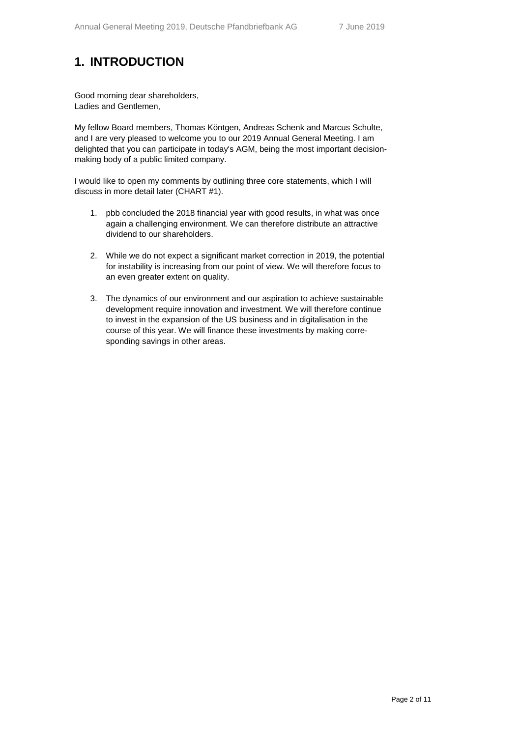# **1. INTRODUCTION**

Good morning dear shareholders, Ladies and Gentlemen,

My fellow Board members, Thomas Köntgen, Andreas Schenk and Marcus Schulte, and I are very pleased to welcome you to our 2019 Annual General Meeting. I am delighted that you can participate in today's AGM, being the most important decisionmaking body of a public limited company.

I would like to open my comments by outlining three core statements, which I will discuss in more detail later (CHART #1).

- 1. pbb concluded the 2018 financial year with good results, in what was once again a challenging environment. We can therefore distribute an attractive dividend to our shareholders.
- 2. While we do not expect a significant market correction in 2019, the potential for instability is increasing from our point of view. We will therefore focus to an even greater extent on quality.
- 3. The dynamics of our environment and our aspiration to achieve sustainable development require innovation and investment. We will therefore continue to invest in the expansion of the US business and in digitalisation in the course of this year. We will finance these investments by making corresponding savings in other areas.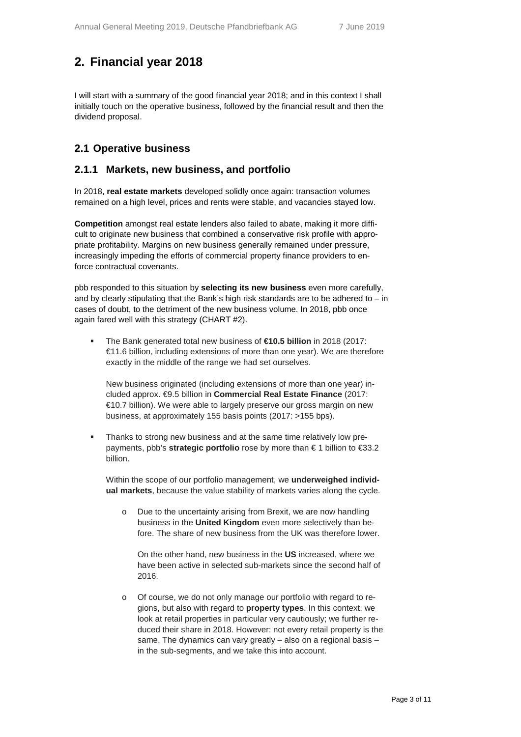# **2. Financial year 2018**

I will start with a summary of the good financial year 2018; and in this context I shall initially touch on the operative business, followed by the financial result and then the dividend proposal.

#### **2.1 Operative business**

#### **2.1.1 Markets, new business, and portfolio**

In 2018, **real estate markets** developed solidly once again: transaction volumes remained on a high level, prices and rents were stable, and vacancies stayed low.

**Competition** amongst real estate lenders also failed to abate, making it more difficult to originate new business that combined a conservative risk profile with appropriate profitability. Margins on new business generally remained under pressure, increasingly impeding the efforts of commercial property finance providers to enforce contractual covenants.

pbb responded to this situation by **selecting its new business** even more carefully, and by clearly stipulating that the Bank's high risk standards are to be adhered to – in cases of doubt, to the detriment of the new business volume. In 2018, pbb once again fared well with this strategy (CHART #2).

 The Bank generated total new business of **€10.5 billion** in 2018 (2017: €11.6 billion, including extensions of more than one year). We are therefore exactly in the middle of the range we had set ourselves.

New business originated (including extensions of more than one year) included approx. €9.5 billion in **Commercial Real Estate Finance** (2017: €10.7 billion). We were able to largely preserve our gross margin on new business, at approximately 155 basis points (2017: >155 bps).

 Thanks to strong new business and at the same time relatively low prepayments, pbb's **strategic portfolio** rose by more than € 1 billion to €33.2 billion.

Within the scope of our portfolio management, we **underweighed individual markets**, because the value stability of markets varies along the cycle.

o Due to the uncertainty arising from Brexit, we are now handling business in the **United Kingdom** even more selectively than before. The share of new business from the UK was therefore lower.

On the other hand, new business in the **US** increased, where we have been active in selected sub-markets since the second half of 2016.

o Of course, we do not only manage our portfolio with regard to regions, but also with regard to **property types**. In this context, we look at retail properties in particular very cautiously; we further reduced their share in 2018. However: not every retail property is the same. The dynamics can vary greatly – also on a regional basis – in the sub-segments, and we take this into account.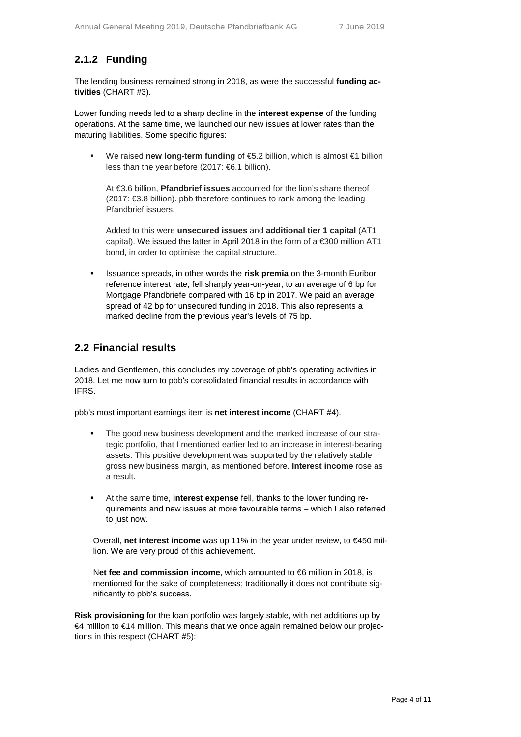## **2.1.2 Funding**

The lending business remained strong in 2018, as were the successful **funding activities** (CHART #3).

Lower funding needs led to a sharp decline in the **interest expense** of the funding operations. At the same time, we launched our new issues at lower rates than the maturing liabilities. Some specific figures:

 We raised **new long-term funding** of €5.2 billion, which is almost €1 billion less than the year before (2017: €6.1 billion).

At €3.6 billion, **Pfandbrief issues** accounted for the lion's share thereof (2017: €3.8 billion). pbb therefore continues to rank among the leading Pfandbrief issuers.

Added to this were **unsecured issues** and **additional tier 1 capital** (AT1 capital). We issued the latter in April 2018 in the form of a €300 million AT1 bond, in order to optimise the capital structure.

 Issuance spreads, in other words the **risk premia** on the 3-month Euribor reference interest rate, fell sharply year-on-year, to an average of 6 bp for Mortgage Pfandbriefe compared with 16 bp in 2017. We paid an average spread of 42 bp for unsecured funding in 2018. This also represents a marked decline from the previous year's levels of 75 bp.

#### **2.2 Financial results**

Ladies and Gentlemen, this concludes my coverage of pbb's operating activities in 2018. Let me now turn to pbb's consolidated financial results in accordance with IFRS.

pbb's most important earnings item is **net interest income** (CHART #4).

- The good new business development and the marked increase of our strategic portfolio, that I mentioned earlier led to an increase in interest-bearing assets. This positive development was supported by the relatively stable gross new business margin, as mentioned before. **Interest income** rose as a result.
- At the same time, **interest expense** fell, thanks to the lower funding requirements and new issues at more favourable terms – which I also referred to just now.

Overall, **net interest income** was up 11% in the year under review, to €450 million. We are very proud of this achievement.

N**et fee and commission income**, which amounted to €6 million in 2018, is mentioned for the sake of completeness; traditionally it does not contribute significantly to pbb's success.

**Risk provisioning** for the loan portfolio was largely stable, with net additions up by €4 million to €14 million. This means that we once again remained below our projections in this respect (CHART #5):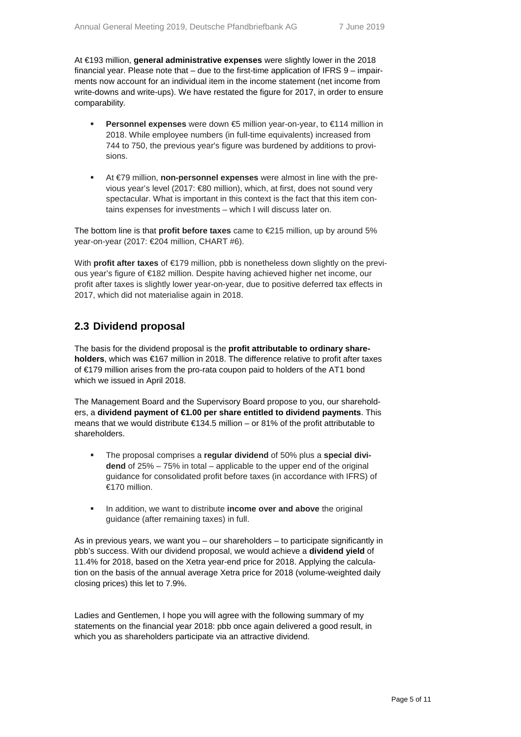At €193 million, **general administrative expenses** were slightly lower in the 2018 financial year. Please note that – due to the first-time application of IFRS 9 – impairments now account for an individual item in the income statement (net income from write-downs and write-ups). We have restated the figure for 2017, in order to ensure comparability.

- **Personnel expenses** were down €5 million year-on-year, to €114 million in 2018. While employee numbers (in full-time equivalents) increased from 744 to 750, the previous year's figure was burdened by additions to provisions.
- At €79 million, **non-personnel expenses** were almost in line with the previous year's level (2017: €80 million), which, at first, does not sound very spectacular. What is important in this context is the fact that this item contains expenses for investments – which I will discuss later on.

The bottom line is that **profit before taxes** came to €215 million, up by around 5% year-on-year (2017: €204 million, CHART #6).

With **profit after taxes** of €179 million, pbb is nonetheless down slightly on the previous year's figure of €182 million. Despite having achieved higher net income, our profit after taxes is slightly lower year-on-year, due to positive deferred tax effects in 2017, which did not materialise again in 2018.

#### **2.3 Dividend proposal**

The basis for the dividend proposal is the **profit attributable to ordinary shareholders**, which was €167 million in 2018. The difference relative to profit after taxes of €179 million arises from the pro-rata coupon paid to holders of the AT1 bond which we issued in April 2018.

The Management Board and the Supervisory Board propose to you, our shareholders, a **dividend payment of €1.00 per share entitled to dividend payments**. This means that we would distribute €134.5 million – or 81% of the profit attributable to shareholders.

- The proposal comprises a **regular dividend** of 50% plus a **special dividend** of 25% – 75% in total – applicable to the upper end of the original guidance for consolidated profit before taxes (in accordance with IFRS) of €170 million.
- **IDED** In addition, we want to distribute **income over and above** the original guidance (after remaining taxes) in full.

As in previous years, we want you – our shareholders – to participate significantly in pbb's success. With our dividend proposal, we would achieve a **dividend yield** of 11.4% for 2018, based on the Xetra year-end price for 2018. Applying the calculation on the basis of the annual average Xetra price for 2018 (volume-weighted daily closing prices) this let to 7.9%.

Ladies and Gentlemen, I hope you will agree with the following summary of my statements on the financial year 2018: pbb once again delivered a good result, in which you as shareholders participate via an attractive dividend.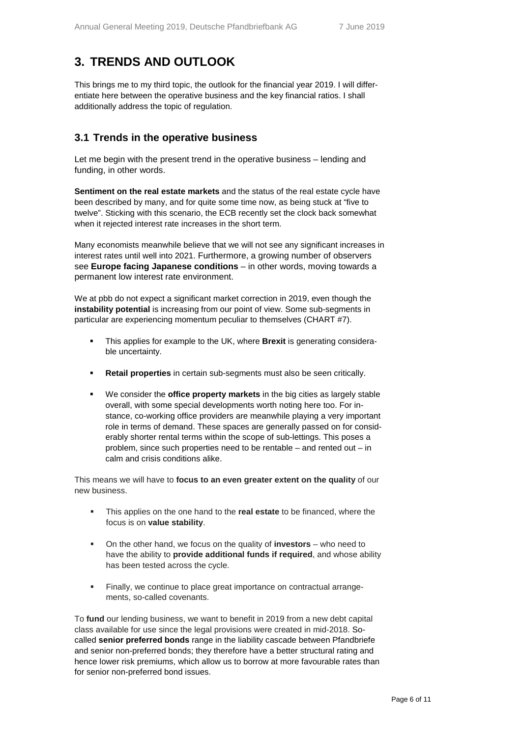# **3. TRENDS AND OUTLOOK**

This brings me to my third topic, the outlook for the financial year 2019. I will differentiate here between the operative business and the key financial ratios. I shall additionally address the topic of regulation.

#### **3.1 Trends in the operative business**

Let me begin with the present trend in the operative business – lending and funding, in other words.

**Sentiment on the real estate markets** and the status of the real estate cycle have been described by many, and for quite some time now, as being stuck at "five to twelve". Sticking with this scenario, the ECB recently set the clock back somewhat when it rejected interest rate increases in the short term.

Many economists meanwhile believe that we will not see any significant increases in interest rates until well into 2021. Furthermore, a growing number of observers see **Europe facing Japanese conditions** – in other words, moving towards a permanent low interest rate environment.

We at pbb do not expect a significant market correction in 2019, even though the **instability potential** is increasing from our point of view. Some sub-segments in particular are experiencing momentum peculiar to themselves (CHART #7).

- This applies for example to the UK, where **Brexit** is generating considerable uncertainty.
- **Retail properties** in certain sub-segments must also be seen critically.
- We consider the **office property markets** in the big cities as largely stable overall, with some special developments worth noting here too. For instance, co-working office providers are meanwhile playing a very important role in terms of demand. These spaces are generally passed on for considerably shorter rental terms within the scope of sub-lettings. This poses a problem, since such properties need to be rentable – and rented out – in calm and crisis conditions alike.

This means we will have to **focus to an even greater extent on the quality** of our new business.

- This applies on the one hand to the **real estate** to be financed, where the focus is on **value stability**.
- On the other hand, we focus on the quality of **investors** who need to have the ability to **provide additional funds if required**, and whose ability has been tested across the cycle.
- Finally, we continue to place great importance on contractual arrangements, so-called covenants.

To **fund** our lending business, we want to benefit in 2019 from a new debt capital class available for use since the legal provisions were created in mid-2018. Socalled **senior preferred bonds** range in the liability cascade between Pfandbriefe and senior non-preferred bonds; they therefore have a better structural rating and hence lower risk premiums, which allow us to borrow at more favourable rates than for senior non-preferred bond issues.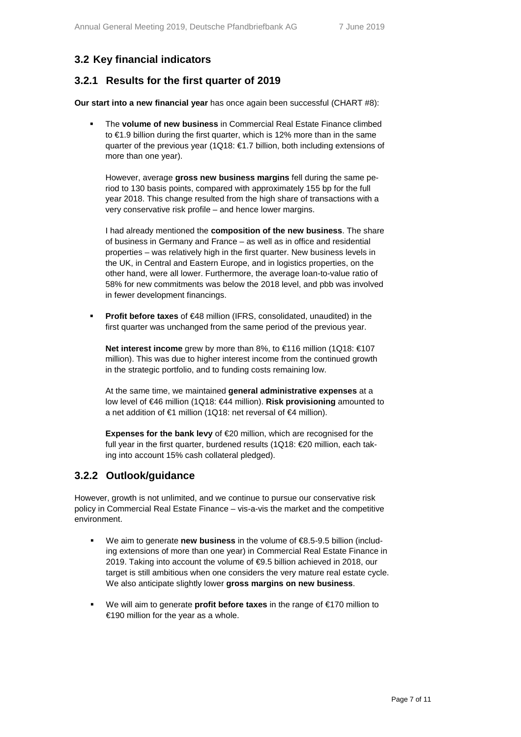## **3.2 Key financial indicators**

#### **3.2.1 Results for the first quarter of 2019**

**Our start into a new financial year** has once again been successful (CHART #8):

 The **volume of new business** in Commercial Real Estate Finance climbed to €1.9 billion during the first quarter, which is 12% more than in the same quarter of the previous year (1Q18: €1.7 billion, both including extensions of more than one year).

However, average **gross new business margins** fell during the same period to 130 basis points, compared with approximately 155 bp for the full year 2018. This change resulted from the high share of transactions with a very conservative risk profile – and hence lower margins.

I had already mentioned the **composition of the new business**. The share of business in Germany and France – as well as in office and residential properties – was relatively high in the first quarter. New business levels in the UK, in Central and Eastern Europe, and in logistics properties, on the other hand, were all lower. Furthermore, the average loan-to-value ratio of 58% for new commitments was below the 2018 level, and pbb was involved in fewer development financings.

**Profit before taxes** of €48 million (IFRS, consolidated, unaudited) in the first quarter was unchanged from the same period of the previous year.

**Net interest income** grew by more than 8%, to €116 million (1Q18: €107 million). This was due to higher interest income from the continued growth in the strategic portfolio, and to funding costs remaining low.

At the same time, we maintained **general administrative expenses** at a low level of €46 million (1Q18: €44 million). **Risk provisioning** amounted to a net addition of €1 million (1Q18: net reversal of €4 million).

**Expenses for the bank levy** of €20 million, which are recognised for the full year in the first quarter, burdened results (1Q18: €20 million, each taking into account 15% cash collateral pledged).

#### **3.2.2 Outlook/guidance**

However, growth is not unlimited, and we continue to pursue our conservative risk policy in Commercial Real Estate Finance – vis-a-vis the market and the competitive environment.

- We aim to generate **new business** in the volume of €8.5-9.5 billion (including extensions of more than one year) in Commercial Real Estate Finance in 2019. Taking into account the volume of €9.5 billion achieved in 2018, our target is still ambitious when one considers the very mature real estate cycle. We also anticipate slightly lower **gross margins on new business**.
- We will aim to generate **profit before taxes** in the range of €170 million to €190 million for the year as a whole.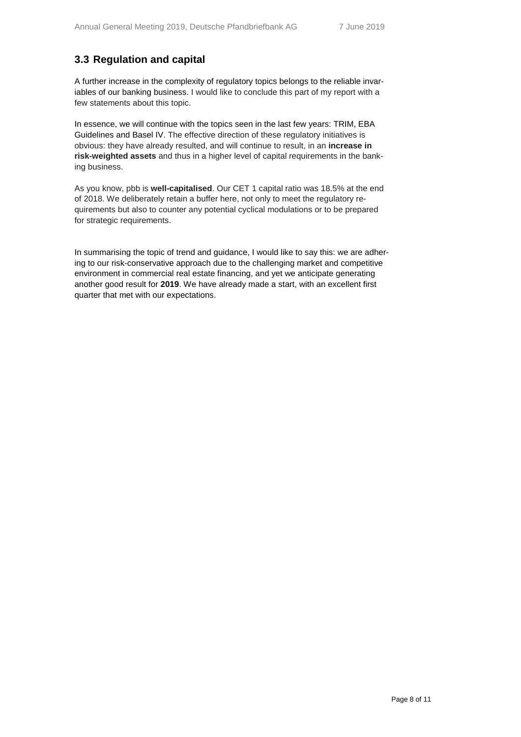## **3.3 Regulation and capital**

A further increase in the complexity of regulatory topics belongs to the reliable invariables of our banking business. I would like to conclude this part of my report with a few statements about this topic.

In essence, we will continue with the topics seen in the last few years: TRIM, EBA Guidelines and Basel IV. The effective direction of these regulatory initiatives is obvious: they have already resulted, and will continue to result, in an **increase in risk-weighted assets** and thus in a higher level of capital requirements in the banking business.

As you know, pbb is **well-capitalised**. Our CET 1 capital ratio was 18.5% at the end of 2018. We deliberately retain a buffer here, not only to meet the regulatory requirements but also to counter any potential cyclical modulations or to be prepared for strategic requirements.

In summarising the topic of trend and guidance, I would like to say this: we are adhering to our risk-conservative approach due to the challenging market and competitive environment in commercial real estate financing, and yet we anticipate generating another good result for **2019**. We have already made a start, with an excellent first quarter that met with our expectations.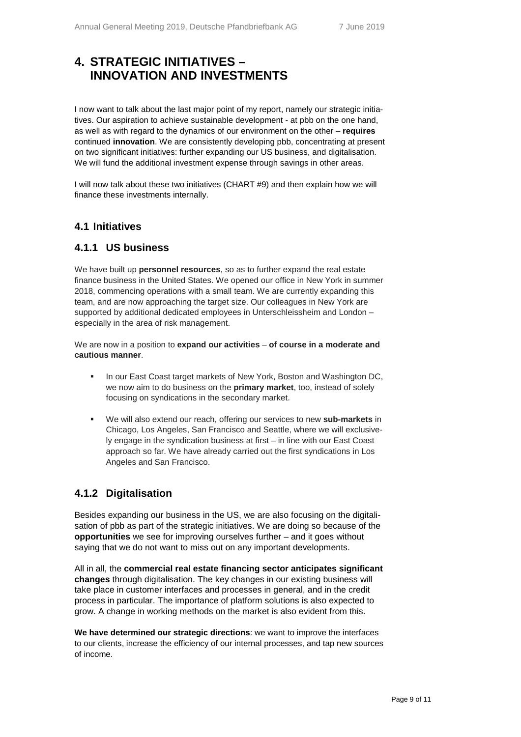## **4. STRATEGIC INITIATIVES – INNOVATION AND INVESTMENTS**

I now want to talk about the last major point of my report, namely our strategic initiatives. Our aspiration to achieve sustainable development - at pbb on the one hand, as well as with regard to the dynamics of our environment on the other – **requires** continued **innovation**. We are consistently developing pbb, concentrating at present on two significant initiatives: further expanding our US business, and digitalisation. We will fund the additional investment expense through savings in other areas.

I will now talk about these two initiatives (CHART #9) and then explain how we will finance these investments internally.

#### **4.1 Initiatives**

#### **4.1.1 US business**

We have built up **personnel resources**, so as to further expand the real estate finance business in the United States. We opened our office in New York in summer 2018, commencing operations with a small team. We are currently expanding this team, and are now approaching the target size. Our colleagues in New York are supported by additional dedicated employees in Unterschleissheim and London – especially in the area of risk management.

We are now in a position to **expand our activities** – **of course in a moderate and cautious manner**.

- In our East Coast target markets of New York, Boston and Washington DC, we now aim to do business on the **primary market**, too, instead of solely focusing on syndications in the secondary market.
- We will also extend our reach, offering our services to new **sub-markets** in Chicago, Los Angeles, San Francisco and Seattle, where we will exclusively engage in the syndication business at first – in line with our East Coast approach so far. We have already carried out the first syndications in Los Angeles and San Francisco.

## **4.1.2 Digitalisation**

Besides expanding our business in the US, we are also focusing on the digitalisation of pbb as part of the strategic initiatives. We are doing so because of the **opportunities** we see for improving ourselves further – and it goes without saying that we do not want to miss out on any important developments.

All in all, the **commercial real estate financing sector anticipates significant changes** through digitalisation. The key changes in our existing business will take place in customer interfaces and processes in general, and in the credit process in particular. The importance of platform solutions is also expected to grow. A change in working methods on the market is also evident from this.

**We have determined our strategic directions**: we want to improve the interfaces to our clients, increase the efficiency of our internal processes, and tap new sources of income.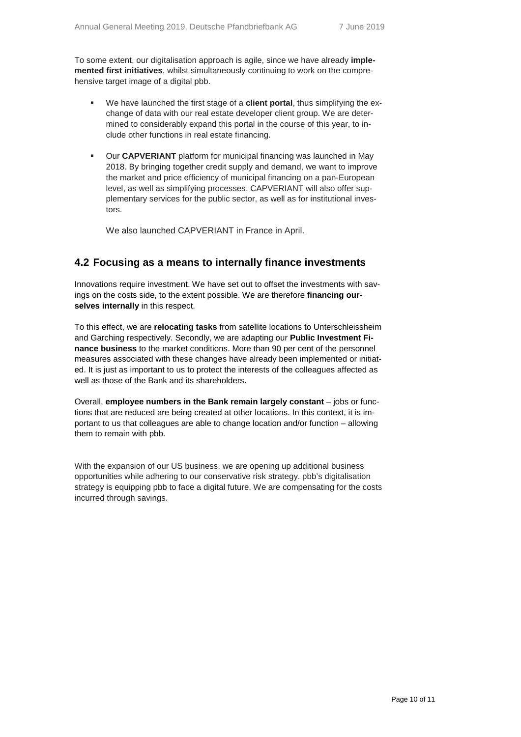To some extent, our digitalisation approach is agile, since we have already **implemented first initiatives**, whilst simultaneously continuing to work on the comprehensive target image of a digital pbb.

- We have launched the first stage of a **client portal**, thus simplifying the exchange of data with our real estate developer client group. We are determined to considerably expand this portal in the course of this year, to include other functions in real estate financing.
- Our **CAPVERIANT** platform for municipal financing was launched in May 2018. By bringing together credit supply and demand, we want to improve the market and price efficiency of municipal financing on a pan-European level, as well as simplifying processes. CAPVERIANT will also offer supplementary services for the public sector, as well as for institutional investors.

We also launched CAPVERIANT in France in April.

#### **4.2 Focusing as a means to internally finance investments**

Innovations require investment. We have set out to offset the investments with savings on the costs side, to the extent possible. We are therefore **financing ourselves internally** in this respect.

To this effect, we are **relocating tasks** from satellite locations to Unterschleissheim and Garching respectively. Secondly, we are adapting our **Public Investment Finance business** to the market conditions. More than 90 per cent of the personnel measures associated with these changes have already been implemented or initiated. It is just as important to us to protect the interests of the colleagues affected as well as those of the Bank and its shareholders.

Overall, **employee numbers in the Bank remain largely constant** – jobs or functions that are reduced are being created at other locations. In this context, it is important to us that colleagues are able to change location and/or function – allowing them to remain with pbb.

With the expansion of our US business, we are opening up additional business opportunities while adhering to our conservative risk strategy. pbb's digitalisation strategy is equipping pbb to face a digital future. We are compensating for the costs incurred through savings.